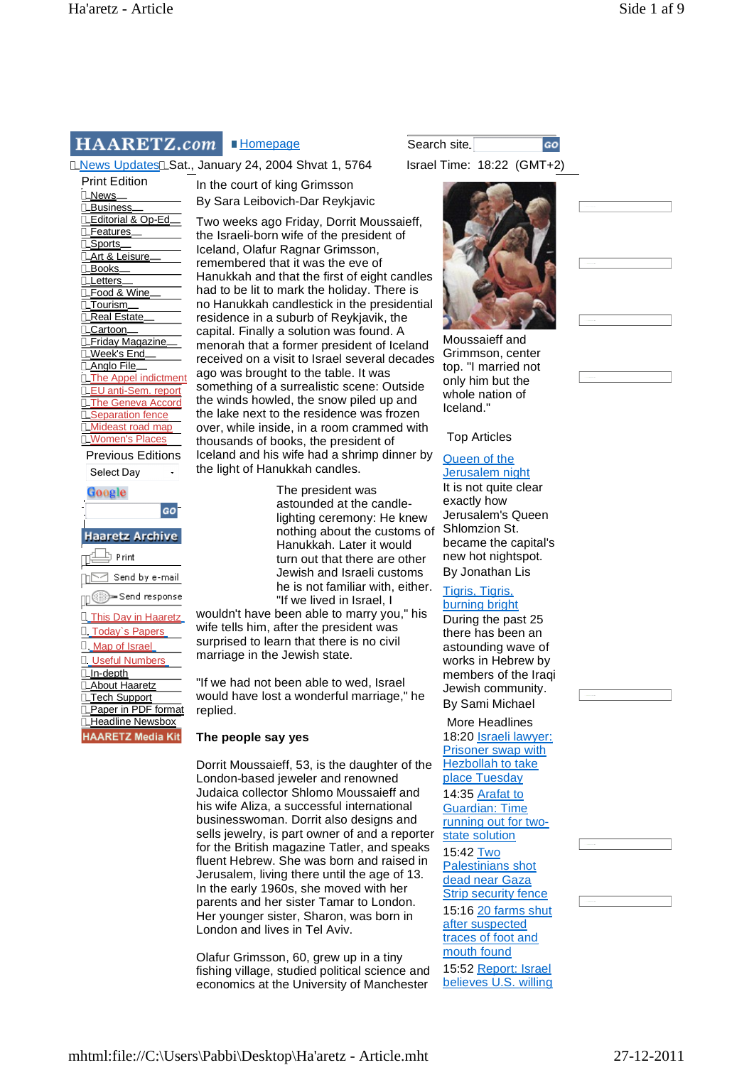# HAARETZ.com

LNews Updates LSat., January 24, 2004 Shvat 1, 5764 Israel Time: 18:22 (GMT+2)

Print Edition LNews. **Business** Editorial & Op-Ed **Features** Sports Art & Leisure Books **Letters** Food & Wine Tourism LReal Estate Cartoon Friday Magazine Week's End LAnglo File. The Appel indictment EU anti-Sem. report The Geneva Accord Separation fence Mideast road man Women's Places Previous Editions

Select Day

| <b>Haaretz Archive</b> |
|------------------------|
| - P rint               |
| Send by e-mail         |
| ▒)⇒Send response       |
| nis Day in Haaretz     |
| ⊺odav`s Papers         |
| . Map of Israel        |
| <b>Useful Numbers</b>  |
| In-depth               |
| bout Haaretz           |
| ech Support            |
| format<br>aper ir      |
| eadline Newsbox        |
| ARETZ Media Kit        |

In the court of king Grimsson By Sara Leibovich-Dar Reykjavic

Two weeks ago Friday, Dorrit Moussaieff, the Israeli-born wife of the president of Iceland, Olafur Ragnar Grimsson, remembered that it was the eve of Hanukkah and that the first of eight candles had to be lit to mark the holiday. There is no Hanukkah candlestick in the presidential residence in a suburb of Reykjavik, the capital. Finally a solution was found. A menorah that a former president of Iceland received on a visit to Israel several decades ago was brought to the table. It was something of a surrealistic scene: Outside the winds howled, the snow piled up and the lake next to the residence was frozen over, while inside, in a room crammed with thousands of books, the president of Iceland and his wife had a shrimp dinner by the light of Hanukkah candles.

> The president was astounded at the candlelighting ceremony: He knew nothing about the customs of Hanukkah. Later it would turn out that there are other Jewish and Israeli customs he is not familiar with, either. "If we lived in Israel, I

wouldn't have been able to marry you," his wife tells him, after the president was surprised to learn that there is no civil marriage in the Jewish state.

"If we had not been able to wed, Israel would have lost a wonderful marriage," he replied.

# **The people say yes**

Dorrit Moussaieff, 53, is the daughter of the London-based jeweler and renowned Judaica collector Shlomo Moussaieff and his wife Aliza, a successful international businesswoman. Dorrit also designs and sells jewelry, is part owner of and a reporter for the British magazine Tatler, and speaks fluent Hebrew. She was born and raised in Jerusalem, living there until the age of 13. In the early 1960s, she moved with her parents and her sister Tamar to London. Her younger sister, Sharon, was born in London and lives in Tel Aviv.

Olafur Grimsson, 60, grew up in a tiny fishing village, studied political science and economics at the University of Manchester

**Homepage** Search site. GO



Moussaieff and Grimmson, center top. "I married not only him but the whole nation of Iceland."

# Top Articles

### Queen of the Jerusalem night

It is not quite clear exactly how Jerusalem's Queen Shlomzion St. became the capital's new hot nightspot. By Jonathan Lis

### Tigris, Tigris, burning bright

During the past 25 there has been an astounding wave of works in Hebrew by members of the Iraqi Jewish community. By Sami Michael

## More Headlines

18:20 Israeli lawyer: Prisoner swap with Hezbollah to take place Tuesday 14:35 Arafat to Guardian: Time running out for twostate solution 15:42 Two Palestinians shot dead near Gaza Strip security fence 15:16 20 farms shut after suspected traces of foot and mouth found

15:52 Report: Israel believes U.S. willing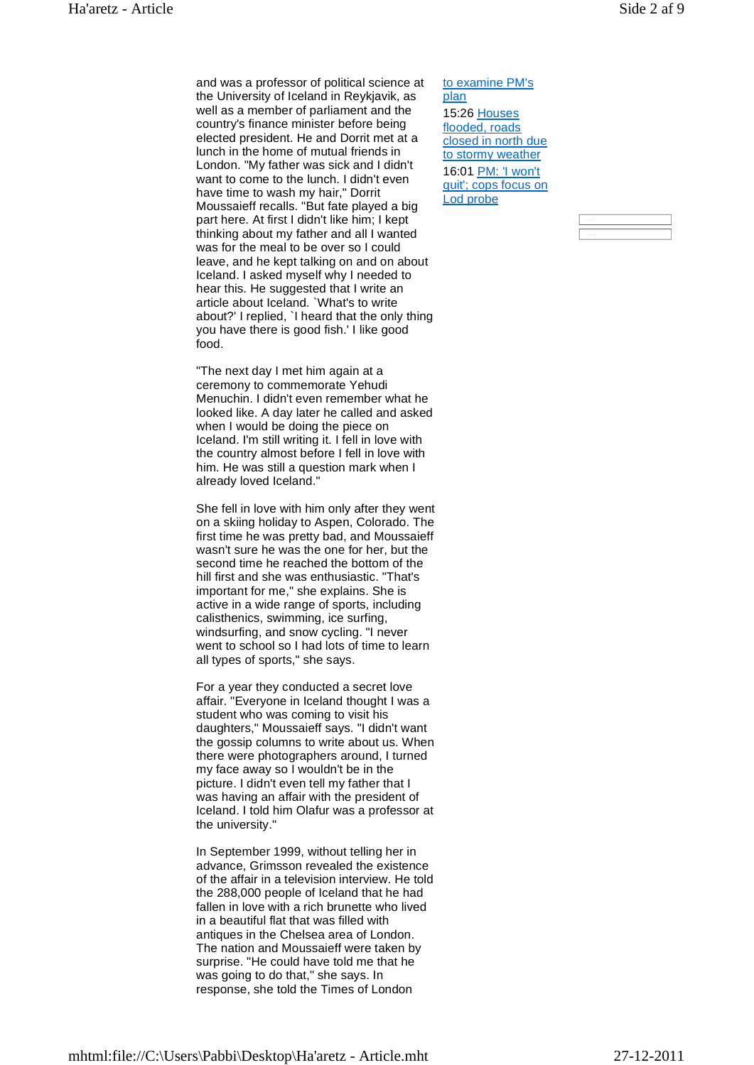and was a professor of political science at the University of Iceland in Reykjavik, as well as a member of parliament and the country's finance minister before being elected president. He and Dorrit met at a lunch in the home of mutual friends in London. "My father was sick and I didn't want to come to the lunch. I didn't even have time to wash my hair," Dorrit Moussaieff recalls. "But fate played a big part here. At first I didn't like him; I kept thinking about my father and all I wanted was for the meal to be over so I could leave, and he kept talking on and on about Iceland. I asked myself why I needed to hear this. He suggested that I write an article about Iceland. `What's to write about?' I replied, `I heard that the only thing you have there is good fish.' I like good food.

"The next day I met him again at a ceremony to commemorate Yehudi Menuchin. I didn't even remember what he looked like. A day later he called and asked when I would be doing the piece on Iceland. I'm still writing it. I fell in love with the country almost before I fell in love with him. He was still a question mark when I already loved Iceland."

She fell in love with him only after they went on a skiing holiday to Aspen, Colorado. The first time he was pretty bad, and Moussaieff wasn't sure he was the one for her, but the second time he reached the bottom of the hill first and she was enthusiastic. "That's important for me," she explains. She is active in a wide range of sports, including calisthenics, swimming, ice surfing, windsurfing, and snow cycling. "I never went to school so I had lots of time to learn all types of sports," she says.

For a year they conducted a secret love affair. "Everyone in Iceland thought I was a student who was coming to visit his daughters," Moussaieff says. "I didn't want the gossip columns to write about us. When there were photographers around, I turned my face away so I wouldn't be in the picture. I didn't even tell my father that I was having an affair with the president of Iceland. I told him Olafur was a professor at the university."

In September 1999, without telling her in advance, Grimsson revealed the existence of the affair in a television interview. He told the 288,000 people of Iceland that he had fallen in love with a rich brunette who lived in a beautiful flat that was filled with antiques in the Chelsea area of London. The nation and Moussaieff were taken by surprise. "He could have told me that he was going to do that," she says. In response, she told the Times of London

to examine PM's plan 15:26 Houses flooded, roads closed in north due to stormy weather 16:01 PM: 'I won't quit'; cops focus on Lod probe

| $\sim$ |  |  |  |
|--------|--|--|--|
|        |  |  |  |
|        |  |  |  |
|        |  |  |  |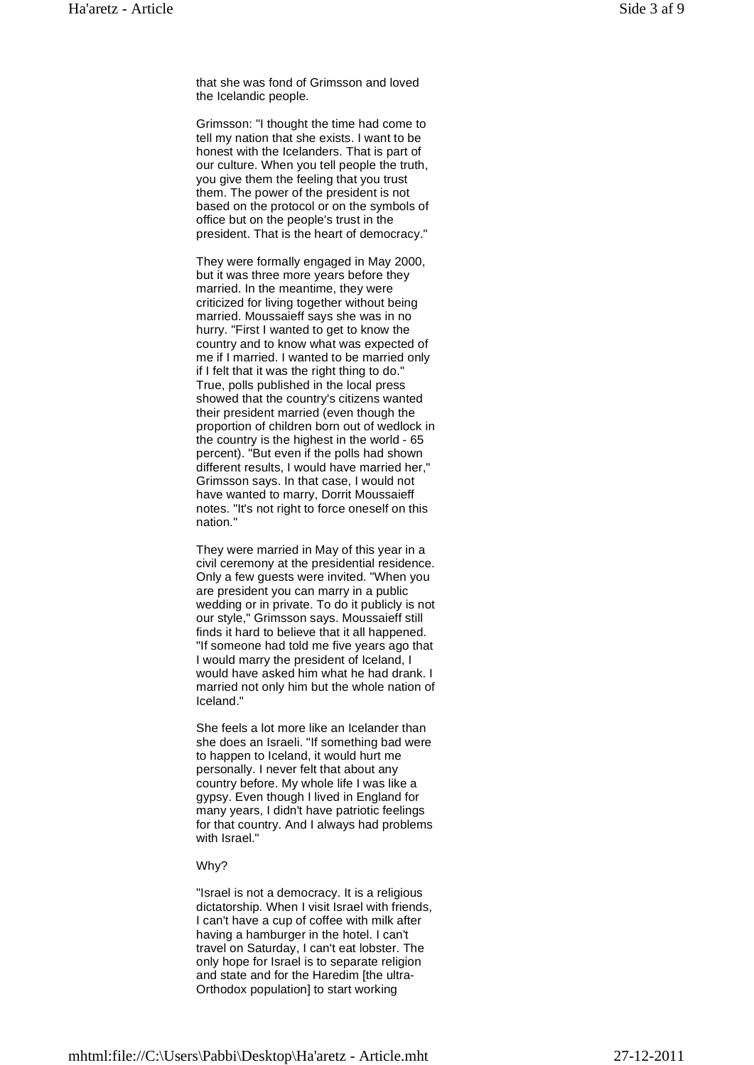that she was fond of Grimsson and loved the Icelandic people.

Grimsson: "I thought the time had come to tell my nation that she exists. I want to be honest with the Icelanders. That is part of our culture. When you tell people the truth, you give them the feeling that you trust them. The power of the president is not based on the protocol or on the symbols of office but on the people's trust in the president. That is the heart of democracy."

They were formally engaged in May 2000, but it was three more years before they married. In the meantime, they were criticized for living together without being married. Moussaieff says she was in no hurry. "First I wanted to get to know the country and to know what was expected of me if I married. I wanted to be married only if I felt that it was the right thing to do." True, polls published in the local press showed that the country's citizens wanted their president married (even though the proportion of children born out of wedlock in the country is the highest in the world - 65 percent). "But even if the polls had shown different results, I would have married her," Grimsson says. In that case, I would not have wanted to marry, Dorrit Moussaieff notes. "It's not right to force oneself on this nation."

They were married in May of this year in a civil ceremony at the presidential residence. Only a few guests were invited. "When you are president you can marry in a public wedding or in private. To do it publicly is not our style," Grimsson says. Moussaieff still finds it hard to believe that it all happened. "If someone had told me five years ago that I would marry the president of Iceland, I would have asked him what he had drank. I married not only him but the whole nation of Iceland."

She feels a lot more like an Icelander than she does an Israeli. "If something bad were to happen to Iceland, it would hurt me personally. I never felt that about any country before. My whole life I was like a gypsy. Even though I lived in England for many years, I didn't have patriotic feelings for that country. And I always had problems with Israel."

#### Why?

"Israel is not a democracy. It is a religious dictatorship. When I visit Israel with friends, I can't have a cup of coffee with milk after having a hamburger in the hotel. I can't travel on Saturday, I can't eat lobster. The only hope for Israel is to separate religion and state and for the Haredim [the ultra-Orthodox population] to start working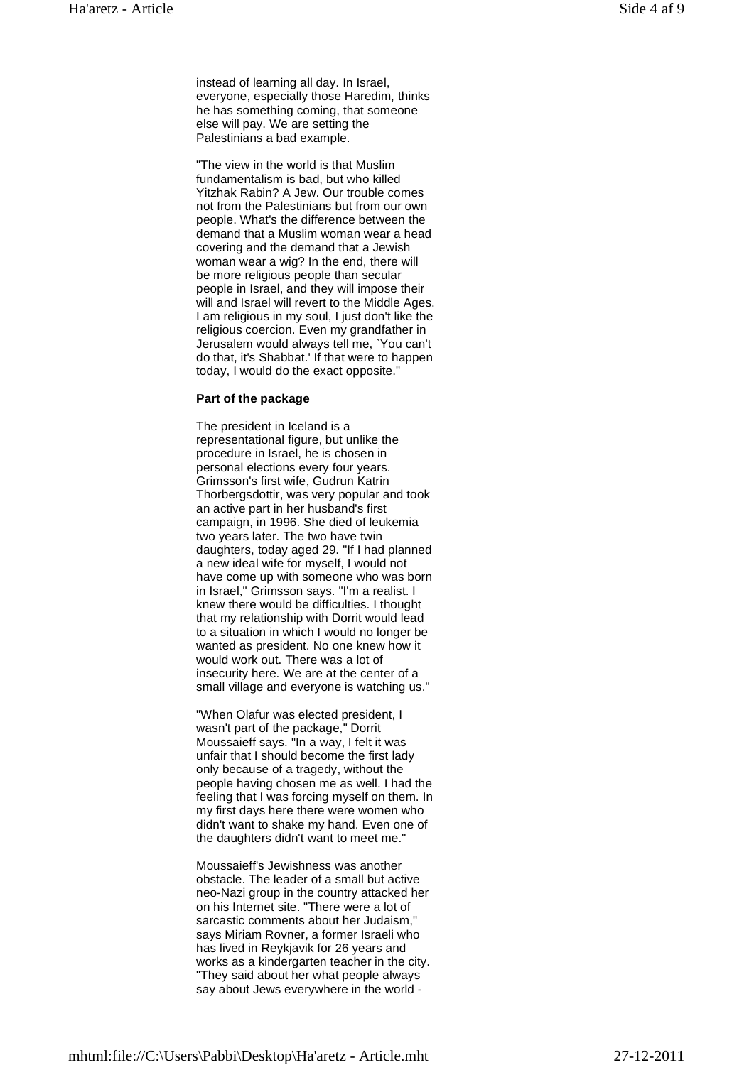instead of learning all day. In Israel, everyone, especially those Haredim, thinks he has something coming, that someone else will pay. We are setting the Palestinians a bad example.

"The view in the world is that Muslim fundamentalism is bad, but who killed Yitzhak Rabin? A Jew. Our trouble comes not from the Palestinians but from our own people. What's the difference between the demand that a Muslim woman wear a head covering and the demand that a Jewish woman wear a wig? In the end, there will be more religious people than secular people in Israel, and they will impose their will and Israel will revert to the Middle Ages. I am religious in my soul, I just don't like the religious coercion. Even my grandfather in Jerusalem would always tell me, `You can't do that, it's Shabbat.' If that were to happen today, I would do the exact opposite."

### **Part of the package**

The president in Iceland is a representational figure, but unlike the procedure in Israel, he is chosen in personal elections every four years. Grimsson's first wife, Gudrun Katrin Thorbergsdottir, was very popular and took an active part in her husband's first campaign, in 1996. She died of leukemia two years later. The two have twin daughters, today aged 29. "If I had planned a new ideal wife for myself, I would not have come up with someone who was born in Israel," Grimsson says. "I'm a realist. I knew there would be difficulties. I thought that my relationship with Dorrit would lead to a situation in which I would no longer be wanted as president. No one knew how it would work out. There was a lot of insecurity here. We are at the center of a small village and everyone is watching us."

"When Olafur was elected president, I wasn't part of the package," Dorrit Moussaieff says. "In a way, I felt it was unfair that I should become the first lady only because of a tragedy, without the people having chosen me as well. I had the feeling that I was forcing myself on them. In my first days here there were women who didn't want to shake my hand. Even one of the daughters didn't want to meet me."

Moussaieff's Jewishness was another obstacle. The leader of a small but active neo-Nazi group in the country attacked her on his Internet site. "There were a lot of sarcastic comments about her Judaism," says Miriam Rovner, a former Israeli who has lived in Reykjavik for 26 years and works as a kindergarten teacher in the city. "They said about her what people always say about Jews everywhere in the world -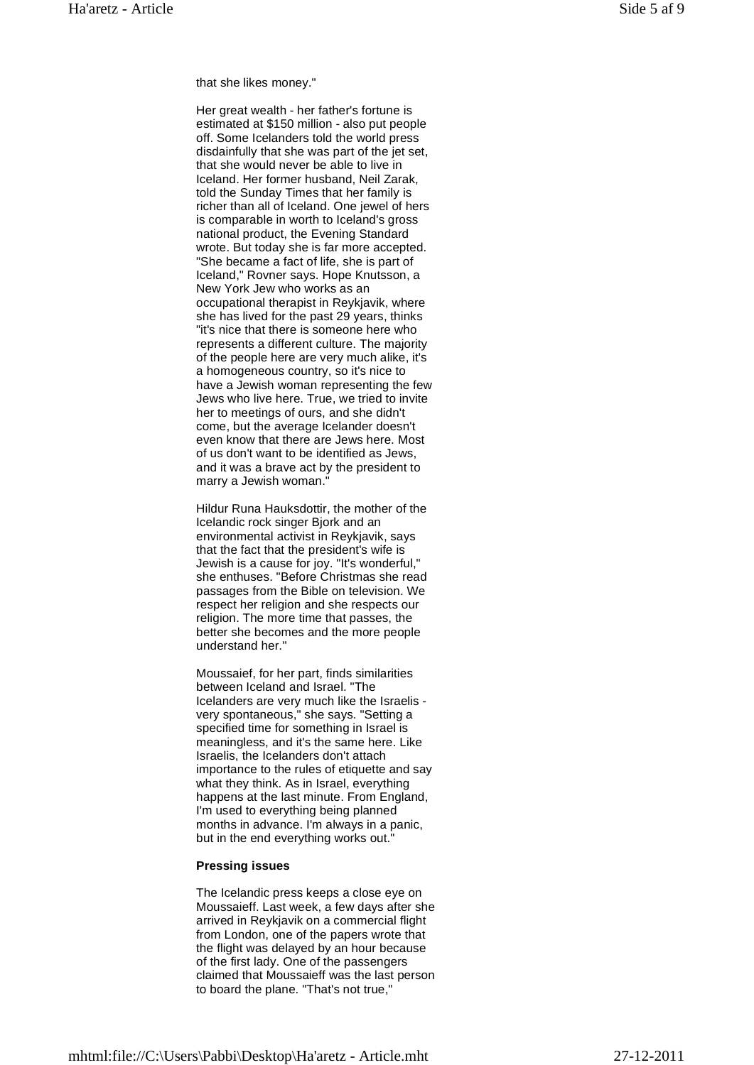Her great wealth - her father's fortune is estimated at \$150 million - also put people off. Some Icelanders told the world press disdainfully that she was part of the jet set, that she would never be able to live in Iceland. Her former husband, Neil Zarak, told the Sunday Times that her family is richer than all of Iceland. One jewel of hers is comparable in worth to Iceland's gross national product, the Evening Standard wrote. But today she is far more accepted. "She became a fact of life, she is part of Iceland," Rovner says. Hope Knutsson, a New York Jew who works as an occupational therapist in Reykjavik, where she has lived for the past 29 years, thinks "it's nice that there is someone here who represents a different culture. The majority of the people here are very much alike, it's a homogeneous country, so it's nice to have a Jewish woman representing the few Jews who live here. True, we tried to invite her to meetings of ours, and she didn't come, but the average Icelander doesn't even know that there are Jews here. Most of us don't want to be identified as Jews, and it was a brave act by the president to marry a Jewish woman."

Hildur Runa Hauksdottir, the mother of the Icelandic rock singer Bjork and an environmental activist in Reykjavik, says that the fact that the president's wife is Jewish is a cause for joy. "It's wonderful," she enthuses. "Before Christmas she read passages from the Bible on television. We respect her religion and she respects our religion. The more time that passes, the better she becomes and the more people understand her."

Moussaief, for her part, finds similarities between Iceland and Israel. "The Icelanders are very much like the Israelis very spontaneous," she says. "Setting a specified time for something in Israel is meaningless, and it's the same here. Like Israelis, the Icelanders don't attach importance to the rules of etiquette and say what they think. As in Israel, everything happens at the last minute. From England, I'm used to everything being planned months in advance. I'm always in a panic, but in the end everything works out."

#### **Pressing issues**

The Icelandic press keeps a close eye on Moussaieff. Last week, a few days after she arrived in Reykjavik on a commercial flight from London, one of the papers wrote that the flight was delayed by an hour because of the first lady. One of the passengers claimed that Moussaieff was the last person to board the plane. "That's not true,"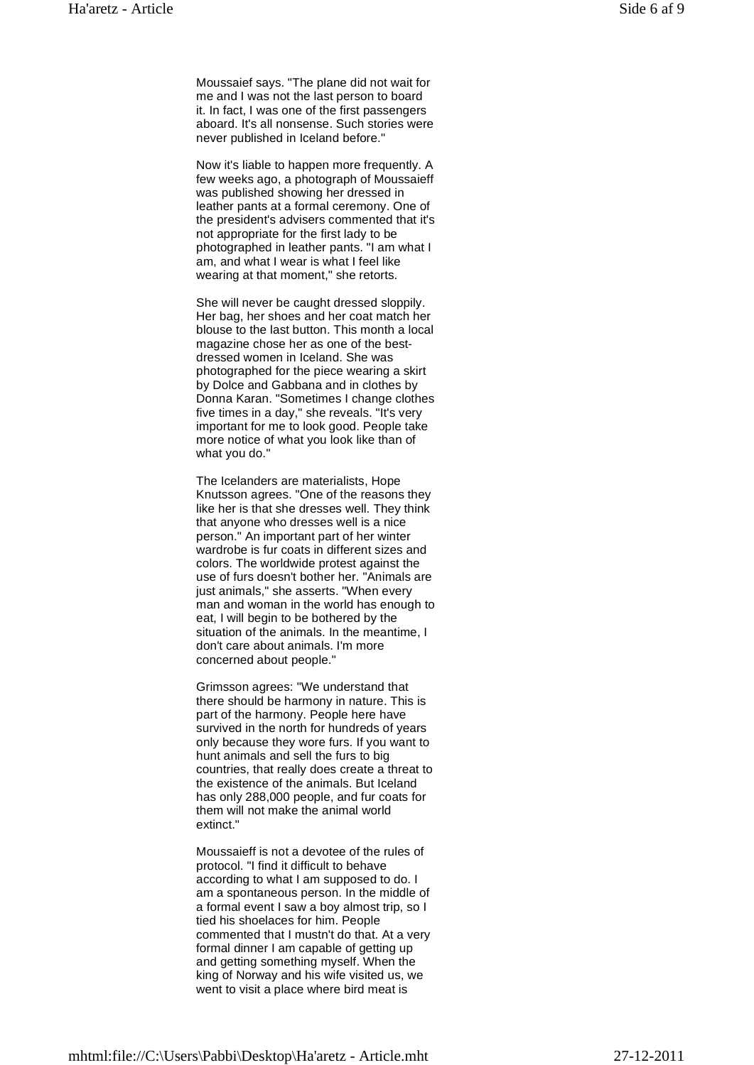Now it's liable to happen more frequently. A few weeks ago, a photograph of Moussaieff was published showing her dressed in leather pants at a formal ceremony. One of the president's advisers commented that it's not appropriate for the first lady to be photographed in leather pants. "I am what I am, and what I wear is what I feel like wearing at that moment," she retorts.

She will never be caught dressed sloppily. Her bag, her shoes and her coat match her blouse to the last button. This month a local magazine chose her as one of the bestdressed women in Iceland. She was photographed for the piece wearing a skirt by Dolce and Gabbana and in clothes by Donna Karan. "Sometimes I change clothes five times in a day," she reveals. "It's very important for me to look good. People take more notice of what you look like than of what you do."

The Icelanders are materialists, Hope Knutsson agrees. "One of the reasons they like her is that she dresses well. They think that anyone who dresses well is a nice person." An important part of her winter wardrobe is fur coats in different sizes and colors. The worldwide protest against the use of furs doesn't bother her. "Animals are just animals," she asserts. "When every man and woman in the world has enough to eat, I will begin to be bothered by the situation of the animals. In the meantime, I don't care about animals. I'm more concerned about people."

Grimsson agrees: "We understand that there should be harmony in nature. This is part of the harmony. People here have survived in the north for hundreds of years only because they wore furs. If you want to hunt animals and sell the furs to big countries, that really does create a threat to the existence of the animals. But Iceland has only 288,000 people, and fur coats for them will not make the animal world extinct."

Moussaieff is not a devotee of the rules of protocol. "I find it difficult to behave according to what I am supposed to do. I am a spontaneous person. In the middle of a formal event I saw a boy almost trip, so I tied his shoelaces for him. People commented that I mustn't do that. At a very formal dinner I am capable of getting up and getting something myself. When the king of Norway and his wife visited us, we went to visit a place where bird meat is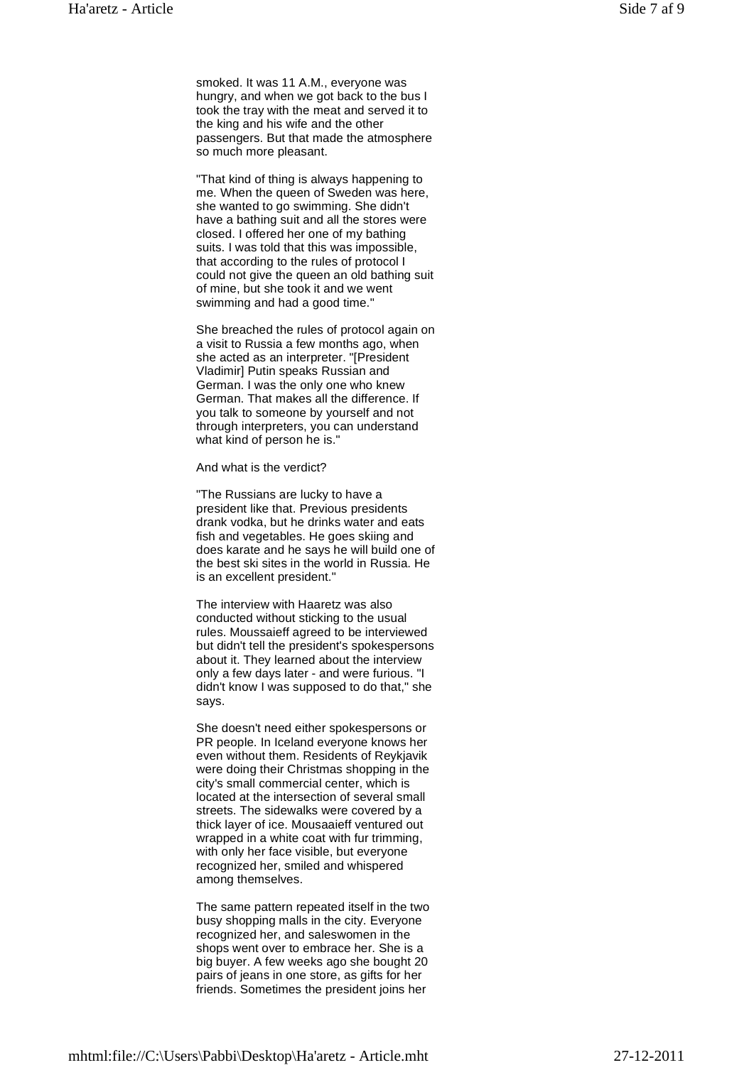"That kind of thing is always happening to me. When the queen of Sweden was here, she wanted to go swimming. She didn't have a bathing suit and all the stores were closed. I offered her one of my bathing suits. I was told that this was impossible, that according to the rules of protocol I could not give the queen an old bathing suit of mine, but she took it and we went swimming and had a good time."

She breached the rules of protocol again on a visit to Russia a few months ago, when she acted as an interpreter. "[President Vladimir] Putin speaks Russian and German. I was the only one who knew German. That makes all the difference. If you talk to someone by yourself and not through interpreters, you can understand what kind of person he is."

And what is the verdict?

"The Russians are lucky to have a president like that. Previous presidents drank vodka, but he drinks water and eats fish and vegetables. He goes skiing and does karate and he says he will build one of the best ski sites in the world in Russia. He is an excellent president."

The interview with Haaretz was also conducted without sticking to the usual rules. Moussaieff agreed to be interviewed but didn't tell the president's spokespersons about it. They learned about the interview only a few days later - and were furious. "I didn't know I was supposed to do that," she says.

She doesn't need either spokespersons or PR people. In Iceland everyone knows her even without them. Residents of Reykjavik were doing their Christmas shopping in the city's small commercial center, which is located at the intersection of several small streets. The sidewalks were covered by a thick layer of ice. Mousaaieff ventured out wrapped in a white coat with fur trimming, with only her face visible, but everyone recognized her, smiled and whispered among themselves.

The same pattern repeated itself in the two busy shopping malls in the city. Everyone recognized her, and saleswomen in the shops went over to embrace her. She is a big buyer. A few weeks ago she bought 20 pairs of jeans in one store, as gifts for her friends. Sometimes the president joins her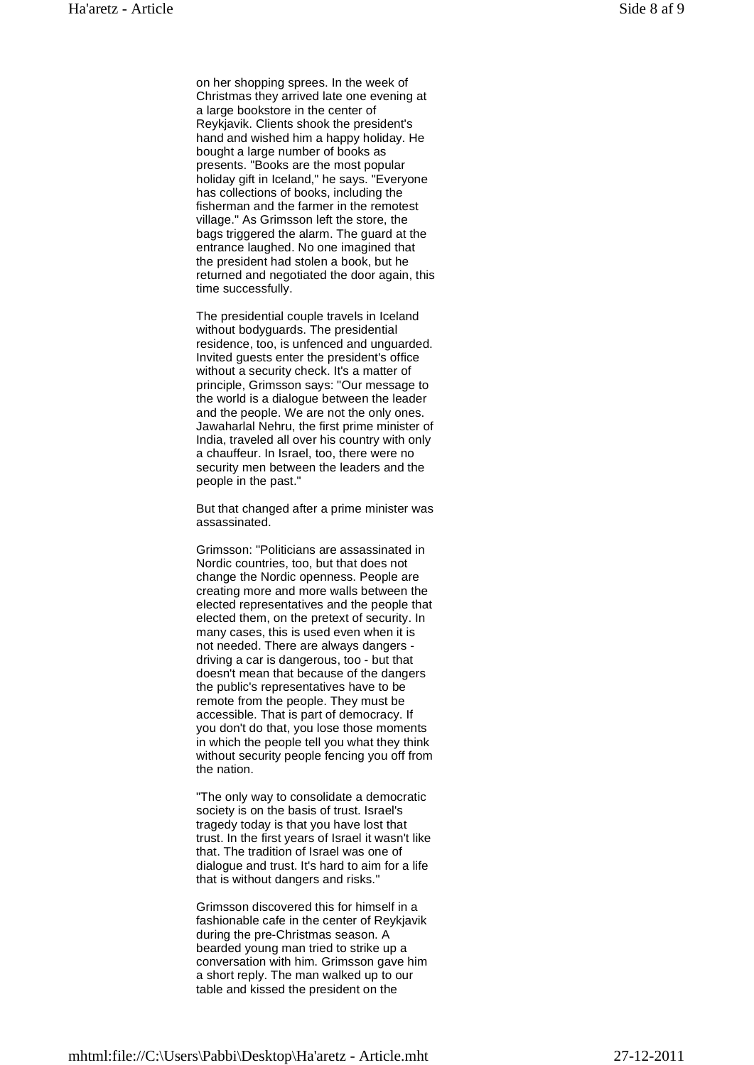on her shopping sprees. In the week of Christmas they arrived late one evening at a large bookstore in the center of Reykjavik. Clients shook the president's hand and wished him a happy holiday. He bought a large number of books as presents. "Books are the most popular holiday gift in Iceland," he says. "Everyone has collections of books, including the fisherman and the farmer in the remotest village." As Grimsson left the store, the bags triggered the alarm. The guard at the entrance laughed. No one imagined that the president had stolen a book, but he returned and negotiated the door again, this time successfully.

The presidential couple travels in Iceland without bodyguards. The presidential residence, too, is unfenced and unguarded. Invited guests enter the president's office without a security check. It's a matter of principle, Grimsson says: "Our message to the world is a dialogue between the leader and the people. We are not the only ones. Jawaharlal Nehru, the first prime minister of India, traveled all over his country with only a chauffeur. In Israel, too, there were no security men between the leaders and the people in the past."

But that changed after a prime minister was assassinated.

Grimsson: "Politicians are assassinated in Nordic countries, too, but that does not change the Nordic openness. People are creating more and more walls between the elected representatives and the people that elected them, on the pretext of security. In many cases, this is used even when it is not needed. There are always dangers driving a car is dangerous, too - but that doesn't mean that because of the dangers the public's representatives have to be remote from the people. They must be accessible. That is part of democracy. If you don't do that, you lose those moments in which the people tell you what they think without security people fencing you off from the nation.

"The only way to consolidate a democratic society is on the basis of trust. Israel's tragedy today is that you have lost that trust. In the first years of Israel it wasn't like that. The tradition of Israel was one of dialogue and trust. It's hard to aim for a life that is without dangers and risks."

Grimsson discovered this for himself in a fashionable cafe in the center of Reykjavik during the pre-Christmas season. A bearded young man tried to strike up a conversation with him. Grimsson gave him a short reply. The man walked up to our table and kissed the president on the